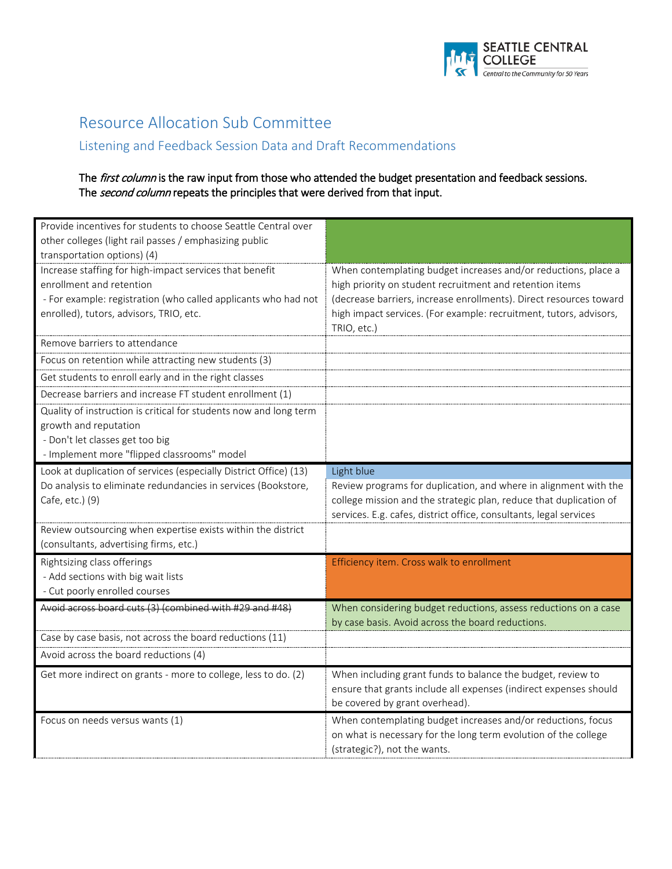

## Resource Allocation Sub Committee

# Listening and Feedback Session Data and Draft Recommendations

#### The first column is the raw input from those who attended the budget presentation and feedback sessions. The second column repeats the principles that were derived from that input.

| Provide incentives for students to choose Seattle Central over<br>other colleges (light rail passes / emphasizing public<br>transportation options) (4)                                          |                                                                                                                                                                                                                                                                                       |
|--------------------------------------------------------------------------------------------------------------------------------------------------------------------------------------------------|---------------------------------------------------------------------------------------------------------------------------------------------------------------------------------------------------------------------------------------------------------------------------------------|
| Increase staffing for high-impact services that benefit<br>enrollment and retention<br>- For example: registration (who called applicants who had not<br>enrolled), tutors, advisors, TRIO, etc. | When contemplating budget increases and/or reductions, place a<br>high priority on student recruitment and retention items<br>(decrease barriers, increase enrollments). Direct resources toward<br>high impact services. (For example: recruitment, tutors, advisors,<br>TRIO, etc.) |
| Remove barriers to attendance                                                                                                                                                                    |                                                                                                                                                                                                                                                                                       |
| Focus on retention while attracting new students (3)                                                                                                                                             |                                                                                                                                                                                                                                                                                       |
| Get students to enroll early and in the right classes                                                                                                                                            |                                                                                                                                                                                                                                                                                       |
| Decrease barriers and increase FT student enrollment (1)                                                                                                                                         |                                                                                                                                                                                                                                                                                       |
| Quality of instruction is critical for students now and long term<br>growth and reputation<br>- Don't let classes get too big<br>- Implement more "flipped classrooms" model                     |                                                                                                                                                                                                                                                                                       |
| Look at duplication of services (especially District Office) (13)                                                                                                                                | Light blue                                                                                                                                                                                                                                                                            |
| Do analysis to eliminate redundancies in services (Bookstore,<br>Cafe, etc.) (9)                                                                                                                 | Review programs for duplication, and where in alignment with the<br>college mission and the strategic plan, reduce that duplication of                                                                                                                                                |
|                                                                                                                                                                                                  | services. E.g. cafes, district office, consultants, legal services                                                                                                                                                                                                                    |
| Review outsourcing when expertise exists within the district                                                                                                                                     |                                                                                                                                                                                                                                                                                       |
| (consultants, advertising firms, etc.)                                                                                                                                                           |                                                                                                                                                                                                                                                                                       |
| Rightsizing class offerings                                                                                                                                                                      | Efficiency item. Cross walk to enrollment                                                                                                                                                                                                                                             |
| - Add sections with big wait lists                                                                                                                                                               |                                                                                                                                                                                                                                                                                       |
| - Cut poorly enrolled courses                                                                                                                                                                    |                                                                                                                                                                                                                                                                                       |
| Avoid across board cuts (3) (combined with #29 and #48)                                                                                                                                          | When considering budget reductions, assess reductions on a case<br>by case basis. Avoid across the board reductions.                                                                                                                                                                  |
| Case by case basis, not across the board reductions (11)                                                                                                                                         |                                                                                                                                                                                                                                                                                       |
| Avoid across the board reductions (4)                                                                                                                                                            |                                                                                                                                                                                                                                                                                       |
| Get more indirect on grants - more to college, less to do. (2)                                                                                                                                   | When including grant funds to balance the budget, review to<br>ensure that grants include all expenses (indirect expenses should<br>be covered by grant overhead).                                                                                                                    |
| Focus on needs versus wants (1)                                                                                                                                                                  | When contemplating budget increases and/or reductions, focus<br>on what is necessary for the long term evolution of the college<br>(strategic?), not the wants.                                                                                                                       |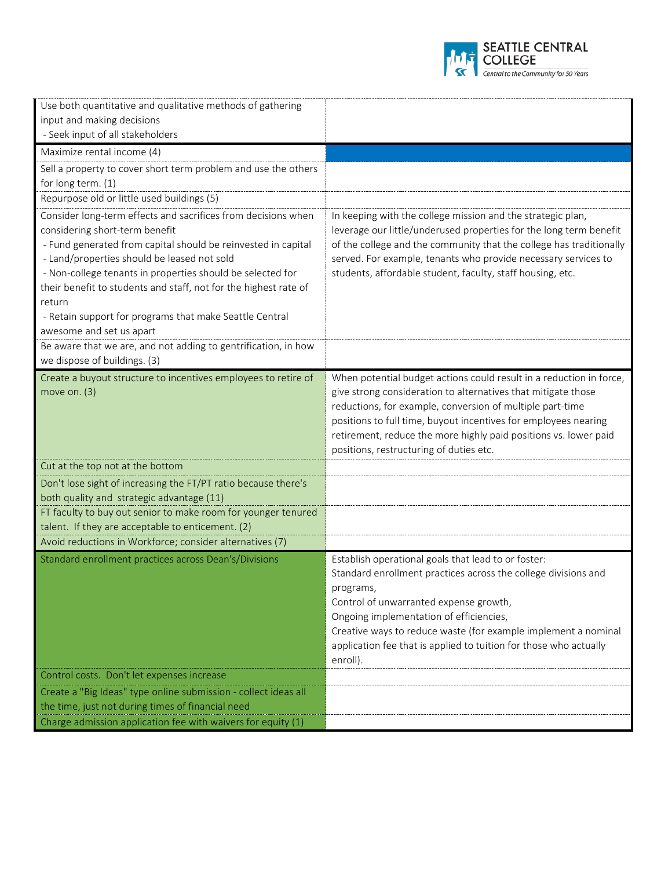

| Use both quantitative and qualitative methods of gathering                                                                                                                                                                                                                                                                                                                                                                                                                                                           |                                                                                                                                                                                                                                                                                                                                                                                     |
|----------------------------------------------------------------------------------------------------------------------------------------------------------------------------------------------------------------------------------------------------------------------------------------------------------------------------------------------------------------------------------------------------------------------------------------------------------------------------------------------------------------------|-------------------------------------------------------------------------------------------------------------------------------------------------------------------------------------------------------------------------------------------------------------------------------------------------------------------------------------------------------------------------------------|
| input and making decisions                                                                                                                                                                                                                                                                                                                                                                                                                                                                                           |                                                                                                                                                                                                                                                                                                                                                                                     |
| - Seek input of all stakeholders                                                                                                                                                                                                                                                                                                                                                                                                                                                                                     |                                                                                                                                                                                                                                                                                                                                                                                     |
| Maximize rental income (4)                                                                                                                                                                                                                                                                                                                                                                                                                                                                                           |                                                                                                                                                                                                                                                                                                                                                                                     |
| Sell a property to cover short term problem and use the others                                                                                                                                                                                                                                                                                                                                                                                                                                                       |                                                                                                                                                                                                                                                                                                                                                                                     |
| for long term. (1)                                                                                                                                                                                                                                                                                                                                                                                                                                                                                                   |                                                                                                                                                                                                                                                                                                                                                                                     |
| Repurpose old or little used buildings (5)                                                                                                                                                                                                                                                                                                                                                                                                                                                                           |                                                                                                                                                                                                                                                                                                                                                                                     |
| Consider long-term effects and sacrifices from decisions when<br>considering short-term benefit<br>- Fund generated from capital should be reinvested in capital<br>- Land/properties should be leased not sold<br>- Non-college tenants in properties should be selected for<br>their benefit to students and staff, not for the highest rate of<br>return<br>- Retain support for programs that make Seattle Central<br>awesome and set us apart<br>Be aware that we are, and not adding to gentrification, in how | In keeping with the college mission and the strategic plan,<br>leverage our little/underused properties for the long term benefit<br>of the college and the community that the college has traditionally<br>served. For example, tenants who provide necessary services to<br>students, affordable student, faculty, staff housing, etc.                                            |
| we dispose of buildings. (3)                                                                                                                                                                                                                                                                                                                                                                                                                                                                                         |                                                                                                                                                                                                                                                                                                                                                                                     |
| Create a buyout structure to incentives employees to retire of<br>move on. $(3)$                                                                                                                                                                                                                                                                                                                                                                                                                                     | When potential budget actions could result in a reduction in force,<br>give strong consideration to alternatives that mitigate those<br>reductions, for example, conversion of multiple part-time<br>positions to full time, buyout incentives for employees nearing<br>retirement, reduce the more highly paid positions vs. lower paid<br>positions, restructuring of duties etc. |
| Cut at the top not at the bottom                                                                                                                                                                                                                                                                                                                                                                                                                                                                                     |                                                                                                                                                                                                                                                                                                                                                                                     |
| Don't lose sight of increasing the FT/PT ratio because there's                                                                                                                                                                                                                                                                                                                                                                                                                                                       |                                                                                                                                                                                                                                                                                                                                                                                     |
| both quality and strategic advantage (11)                                                                                                                                                                                                                                                                                                                                                                                                                                                                            |                                                                                                                                                                                                                                                                                                                                                                                     |
| FT faculty to buy out senior to make room for younger tenured                                                                                                                                                                                                                                                                                                                                                                                                                                                        |                                                                                                                                                                                                                                                                                                                                                                                     |
| talent. If they are acceptable to enticement. (2)                                                                                                                                                                                                                                                                                                                                                                                                                                                                    |                                                                                                                                                                                                                                                                                                                                                                                     |
| Avoid reductions in Workforce; consider alternatives (7)                                                                                                                                                                                                                                                                                                                                                                                                                                                             |                                                                                                                                                                                                                                                                                                                                                                                     |
| Standard enrollment practices across Dean's/Divisions                                                                                                                                                                                                                                                                                                                                                                                                                                                                | Establish operational goals that lead to or foster:<br>Standard enrollment practices across the college divisions and<br>programs,<br>Control of unwarranted expense growth,<br>Ongoing implementation of efficiencies,<br>Creative ways to reduce waste (for example implement a nominal<br>application fee that is applied to tuition for those who actually<br>enroll).          |
| Control costs. Don't let expenses increase                                                                                                                                                                                                                                                                                                                                                                                                                                                                           |                                                                                                                                                                                                                                                                                                                                                                                     |
| Create a "Big Ideas" type online submission - collect ideas all                                                                                                                                                                                                                                                                                                                                                                                                                                                      |                                                                                                                                                                                                                                                                                                                                                                                     |
| the time, just not during times of financial need                                                                                                                                                                                                                                                                                                                                                                                                                                                                    |                                                                                                                                                                                                                                                                                                                                                                                     |
| Charge admission application fee with waivers for equity (1)                                                                                                                                                                                                                                                                                                                                                                                                                                                         |                                                                                                                                                                                                                                                                                                                                                                                     |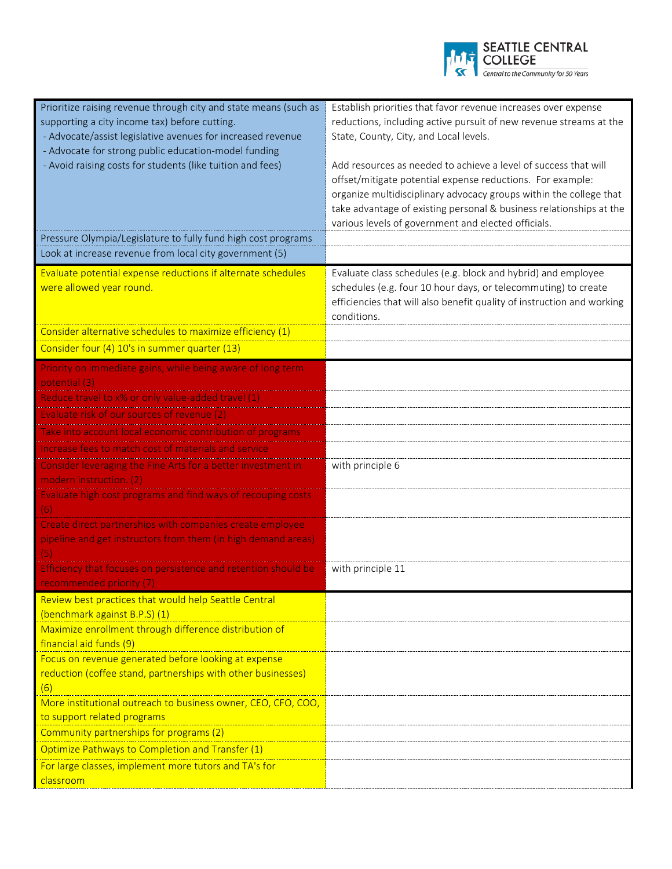

| Prioritize raising revenue through city and state means (such as<br>supporting a city income tax) before cutting.<br>- Advocate/assist legislative avenues for increased revenue<br>- Advocate for strong public education-model funding<br>- Avoid raising costs for students (like tuition and fees)<br>Pressure Olympia/Legislature to fully fund high cost programs | Establish priorities that favor revenue increases over expense<br>reductions, including active pursuit of new revenue streams at the<br>State, County, City, and Local levels.<br>Add resources as needed to achieve a level of success that will<br>offset/mitigate potential expense reductions. For example:<br>organize multidisciplinary advocacy groups within the college that<br>take advantage of existing personal & business relationships at the<br>various levels of government and elected officials. |
|-------------------------------------------------------------------------------------------------------------------------------------------------------------------------------------------------------------------------------------------------------------------------------------------------------------------------------------------------------------------------|---------------------------------------------------------------------------------------------------------------------------------------------------------------------------------------------------------------------------------------------------------------------------------------------------------------------------------------------------------------------------------------------------------------------------------------------------------------------------------------------------------------------|
| Look at increase revenue from local city government (5)                                                                                                                                                                                                                                                                                                                 |                                                                                                                                                                                                                                                                                                                                                                                                                                                                                                                     |
| Evaluate potential expense reductions if alternate schedules<br>were allowed year round.                                                                                                                                                                                                                                                                                | Evaluate class schedules (e.g. block and hybrid) and employee<br>schedules (e.g. four 10 hour days, or telecommuting) to create<br>efficiencies that will also benefit quality of instruction and working<br>conditions.                                                                                                                                                                                                                                                                                            |
| Consider alternative schedules to maximize efficiency (1)                                                                                                                                                                                                                                                                                                               |                                                                                                                                                                                                                                                                                                                                                                                                                                                                                                                     |
| Consider four (4) 10's in summer quarter (13)                                                                                                                                                                                                                                                                                                                           |                                                                                                                                                                                                                                                                                                                                                                                                                                                                                                                     |
| Priority on immediate gains, while being aware of long term<br>potential (3)                                                                                                                                                                                                                                                                                            |                                                                                                                                                                                                                                                                                                                                                                                                                                                                                                                     |
| Reduce travel to x% or only value-added travel (1)                                                                                                                                                                                                                                                                                                                      |                                                                                                                                                                                                                                                                                                                                                                                                                                                                                                                     |
| Evaluate risk of our sources of revenue (2)                                                                                                                                                                                                                                                                                                                             |                                                                                                                                                                                                                                                                                                                                                                                                                                                                                                                     |
| e into account local economic contribution of prog<br>Increase fees to match cost of materials and service                                                                                                                                                                                                                                                              |                                                                                                                                                                                                                                                                                                                                                                                                                                                                                                                     |
| Consider leveraging the Fine Arts for a better investment in                                                                                                                                                                                                                                                                                                            | with principle 6                                                                                                                                                                                                                                                                                                                                                                                                                                                                                                    |
| modern instruction. (2)                                                                                                                                                                                                                                                                                                                                                 |                                                                                                                                                                                                                                                                                                                                                                                                                                                                                                                     |
| Evaluate high cost programs and find ways of recouping costs<br>(6)                                                                                                                                                                                                                                                                                                     |                                                                                                                                                                                                                                                                                                                                                                                                                                                                                                                     |
| Create direct partnerships with companies create employee<br>pipeline and get instructors from them (in high demand areas)<br>(5)                                                                                                                                                                                                                                       |                                                                                                                                                                                                                                                                                                                                                                                                                                                                                                                     |
| Efficiency that focuses on persistence and retention should be<br>recommended priority (7)                                                                                                                                                                                                                                                                              | with principle 11                                                                                                                                                                                                                                                                                                                                                                                                                                                                                                   |
| Review best practices that would help Seattle Central<br>(benchmark against B.P.S) (1)                                                                                                                                                                                                                                                                                  |                                                                                                                                                                                                                                                                                                                                                                                                                                                                                                                     |
| Maximize enrollment through difference distribution of<br>financial aid funds (9)                                                                                                                                                                                                                                                                                       |                                                                                                                                                                                                                                                                                                                                                                                                                                                                                                                     |
| Focus on revenue generated before looking at expense<br>reduction (coffee stand, partnerships with other businesses)<br>(6)                                                                                                                                                                                                                                             |                                                                                                                                                                                                                                                                                                                                                                                                                                                                                                                     |
| More institutional outreach to business owner, CEO, CFO, COO,<br>to support related programs                                                                                                                                                                                                                                                                            |                                                                                                                                                                                                                                                                                                                                                                                                                                                                                                                     |
| Community partnerships for programs (2)                                                                                                                                                                                                                                                                                                                                 |                                                                                                                                                                                                                                                                                                                                                                                                                                                                                                                     |
| Optimize Pathways to Completion and Transfer (1)                                                                                                                                                                                                                                                                                                                        |                                                                                                                                                                                                                                                                                                                                                                                                                                                                                                                     |
| For large classes, implement more tutors and TA's for<br>classroom                                                                                                                                                                                                                                                                                                      |                                                                                                                                                                                                                                                                                                                                                                                                                                                                                                                     |